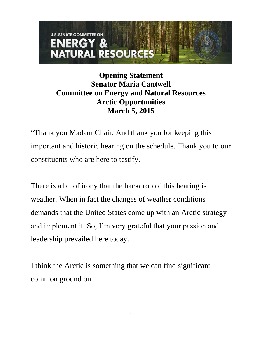## **U.S. SENATE COMMITTEE ON** NERGY & **NATURAL RESOURCES**

**Opening Statement Senator Maria Cantwell Committee on Energy and Natural Resources Arctic Opportunities March 5, 2015**

"Thank you Madam Chair. And thank you for keeping this important and historic hearing on the schedule. Thank you to our constituents who are here to testify.

There is a bit of irony that the backdrop of this hearing is weather. When in fact the changes of weather conditions demands that the United States come up with an Arctic strategy and implement it. So, I'm very grateful that your passion and leadership prevailed here today.

I think the Arctic is something that we can find significant common ground on.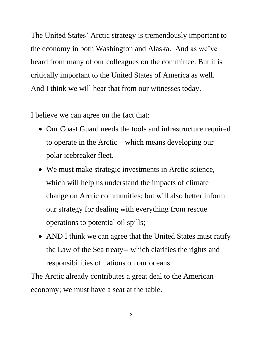The United States' Arctic strategy is tremendously important to the economy in both Washington and Alaska. And as we've heard from many of our colleagues on the committee. But it is critically important to the United States of America as well. And I think we will hear that from our witnesses today.

I believe we can agree on the fact that:

- Our Coast Guard needs the tools and infrastructure required to operate in the Arctic—which means developing our polar icebreaker fleet.
- We must make strategic investments in Arctic science, which will help us understand the impacts of climate change on Arctic communities; but will also better inform our strategy for dealing with everything from rescue operations to potential oil spills;
- AND I think we can agree that the United States must ratify the Law of the Sea treaty-- which clarifies the rights and responsibilities of nations on our oceans.

The Arctic already contributes a great deal to the American economy; we must have a seat at the table.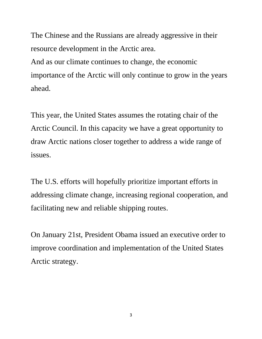The Chinese and the Russians are already aggressive in their resource development in the Arctic area.

And as our climate continues to change, the economic importance of the Arctic will only continue to grow in the years ahead.

This year, the United States assumes the rotating chair of the Arctic Council. In this capacity we have a great opportunity to draw Arctic nations closer together to address a wide range of issues.

The U.S. efforts will hopefully prioritize important efforts in addressing climate change, increasing regional cooperation, and facilitating new and reliable shipping routes.

On January 21st, President Obama issued an executive order to improve coordination and implementation of the United States Arctic strategy.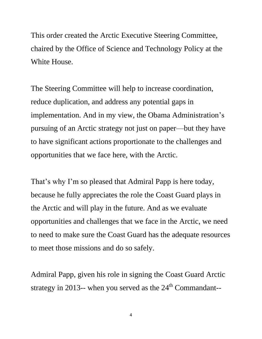This order created the Arctic Executive Steering Committee, chaired by the Office of Science and Technology Policy at the White House.

The Steering Committee will help to increase coordination, reduce duplication, and address any potential gaps in implementation. And in my view, the Obama Administration's pursuing of an Arctic strategy not just on paper—but they have to have significant actions proportionate to the challenges and opportunities that we face here, with the Arctic.

That's why I'm so pleased that Admiral Papp is here today, because he fully appreciates the role the Coast Guard plays in the Arctic and will play in the future. And as we evaluate opportunities and challenges that we face in the Arctic, we need to need to make sure the Coast Guard has the adequate resources to meet those missions and do so safely.

Admiral Papp, given his role in signing the Coast Guard Arctic strategy in 2013-- when you served as the  $24<sup>th</sup>$  Commandant--

4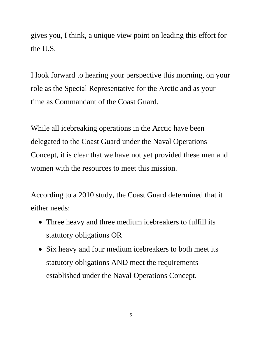gives you, I think, a unique view point on leading this effort for the U.S.

I look forward to hearing your perspective this morning, on your role as the Special Representative for the Arctic and as your time as Commandant of the Coast Guard.

While all icebreaking operations in the Arctic have been delegated to the Coast Guard under the Naval Operations Concept, it is clear that we have not yet provided these men and women with the resources to meet this mission.

According to a 2010 study, the Coast Guard determined that it either needs:

- Three heavy and three medium icebreakers to fulfill its statutory obligations OR
- Six heavy and four medium icebreakers to both meet its statutory obligations AND meet the requirements established under the Naval Operations Concept.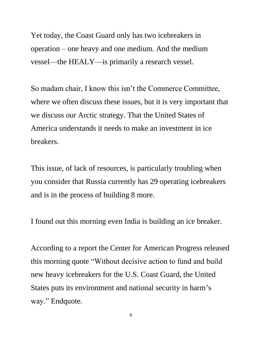Yet today, the Coast Guard only has two icebreakers in operation – one heavy and one medium. And the medium vessel—the HEALY—is primarily a research vessel.

So madam chair, I know this isn't the Commerce Committee, where we often discuss these issues, but it is very important that we discuss our Arctic strategy. That the United States of America understands it needs to make an investment in ice breakers.

This issue, of lack of resources, is particularly troubling when you consider that Russia currently has 29 operating icebreakers and is in the process of building 8 more.

I found out this morning even India is building an ice breaker.

According to a report the Center for American Progress released this morning quote "Without decisive action to fund and build new heavy icebreakers for the U.S. Coast Guard, the United States puts its environment and national security in harm's way." Endquote.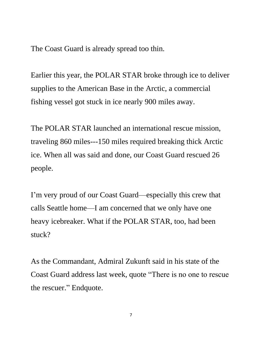The Coast Guard is already spread too thin.

Earlier this year, the POLAR STAR broke through ice to deliver supplies to the American Base in the Arctic, a commercial fishing vessel got stuck in ice nearly 900 miles away.

The POLAR STAR launched an international rescue mission, traveling 860 miles---150 miles required breaking thick Arctic ice. When all was said and done, our Coast Guard rescued 26 people.

I'm very proud of our Coast Guard—especially this crew that calls Seattle home—I am concerned that we only have one heavy icebreaker. What if the POLAR STAR, too, had been stuck?

As the Commandant, Admiral Zukunft said in his state of the Coast Guard address last week, quote "There is no one to rescue the rescuer." Endquote.

7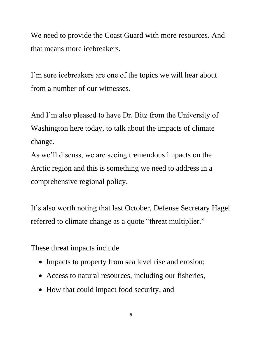We need to provide the Coast Guard with more resources. And that means more icebreakers.

I'm sure icebreakers are one of the topics we will hear about from a number of our witnesses.

And I'm also pleased to have Dr. Bitz from the University of Washington here today, to talk about the impacts of climate change.

As we'll discuss, we are seeing tremendous impacts on the Arctic region and this is something we need to address in a comprehensive regional policy.

It's also worth noting that last October, Defense Secretary Hagel referred to climate change as a quote "threat multiplier."

These threat impacts include

- Impacts to property from sea level rise and erosion;
- Access to natural resources, including our fisheries,
- How that could impact food security; and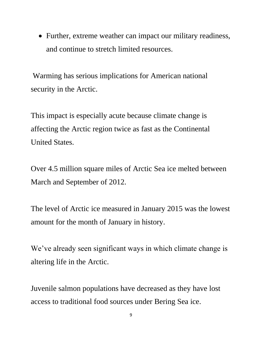Further, extreme weather can impact our military readiness, and continue to stretch limited resources.

Warming has serious implications for American national security in the Arctic.

This impact is especially acute because climate change is affecting the Arctic region twice as fast as the Continental United States.

Over 4.5 million square miles of Arctic Sea ice melted between March and September of 2012.

The level of Arctic ice measured in January 2015 was the lowest amount for the month of January in history.

We've already seen significant ways in which climate change is altering life in the Arctic.

Juvenile salmon populations have decreased as they have lost access to traditional food sources under Bering Sea ice.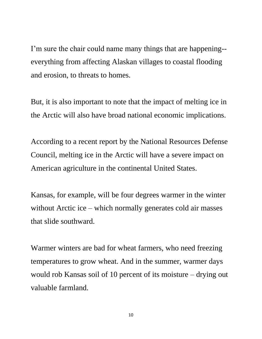I'm sure the chair could name many things that are happening- everything from affecting Alaskan villages to coastal flooding and erosion, to threats to homes.

But, it is also important to note that the impact of melting ice in the Arctic will also have broad national economic implications.

According to a recent report by the National Resources Defense Council, melting ice in the Arctic will have a severe impact on American agriculture in the continental United States.

Kansas, for example, will be four degrees warmer in the winter without Arctic ice – which normally generates cold air masses that slide southward.

Warmer winters are bad for wheat farmers, who need freezing temperatures to grow wheat. And in the summer, warmer days would rob Kansas soil of 10 percent of its moisture – drying out valuable farmland.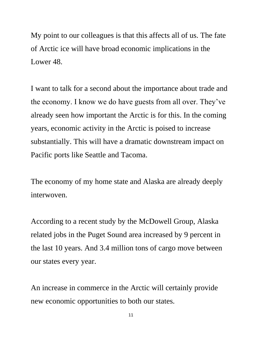My point to our colleagues is that this affects all of us. The fate of Arctic ice will have broad economic implications in the Lower 48.

I want to talk for a second about the importance about trade and the economy. I know we do have guests from all over. They've already seen how important the Arctic is for this. In the coming years, economic activity in the Arctic is poised to increase substantially. This will have a dramatic downstream impact on Pacific ports like Seattle and Tacoma.

The economy of my home state and Alaska are already deeply interwoven.

According to a recent study by the McDowell Group, Alaska related jobs in the Puget Sound area increased by 9 percent in the last 10 years. And 3.4 million tons of cargo move between our states every year.

An increase in commerce in the Arctic will certainly provide new economic opportunities to both our states.

11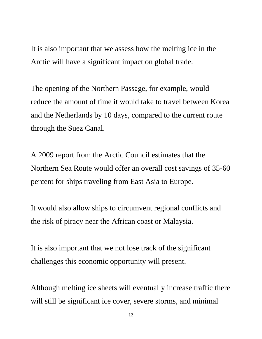It is also important that we assess how the melting ice in the Arctic will have a significant impact on global trade.

The opening of the Northern Passage, for example, would reduce the amount of time it would take to travel between Korea and the Netherlands by 10 days, compared to the current route through the Suez Canal.

A 2009 report from the Arctic Council estimates that the Northern Sea Route would offer an overall cost savings of 35-60 percent for ships traveling from East Asia to Europe.

It would also allow ships to circumvent regional conflicts and the risk of piracy near the African coast or Malaysia.

It is also important that we not lose track of the significant challenges this economic opportunity will present.

Although melting ice sheets will eventually increase traffic there will still be significant ice cover, severe storms, and minimal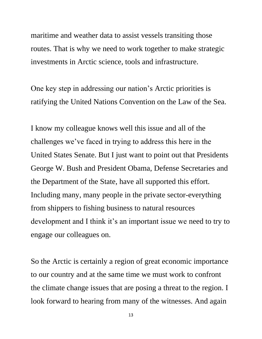maritime and weather data to assist vessels transiting those routes. That is why we need to work together to make strategic investments in Arctic science, tools and infrastructure.

One key step in addressing our nation's Arctic priorities is ratifying the United Nations Convention on the Law of the Sea.

I know my colleague knows well this issue and all of the challenges we've faced in trying to address this here in the United States Senate. But I just want to point out that Presidents George W. Bush and President Obama, Defense Secretaries and the Department of the State, have all supported this effort. Including many, many people in the private sector-everything from shippers to fishing business to natural resources development and I think it's an important issue we need to try to engage our colleagues on.

So the Arctic is certainly a region of great economic importance to our country and at the same time we must work to confront the climate change issues that are posing a threat to the region. I look forward to hearing from many of the witnesses. And again